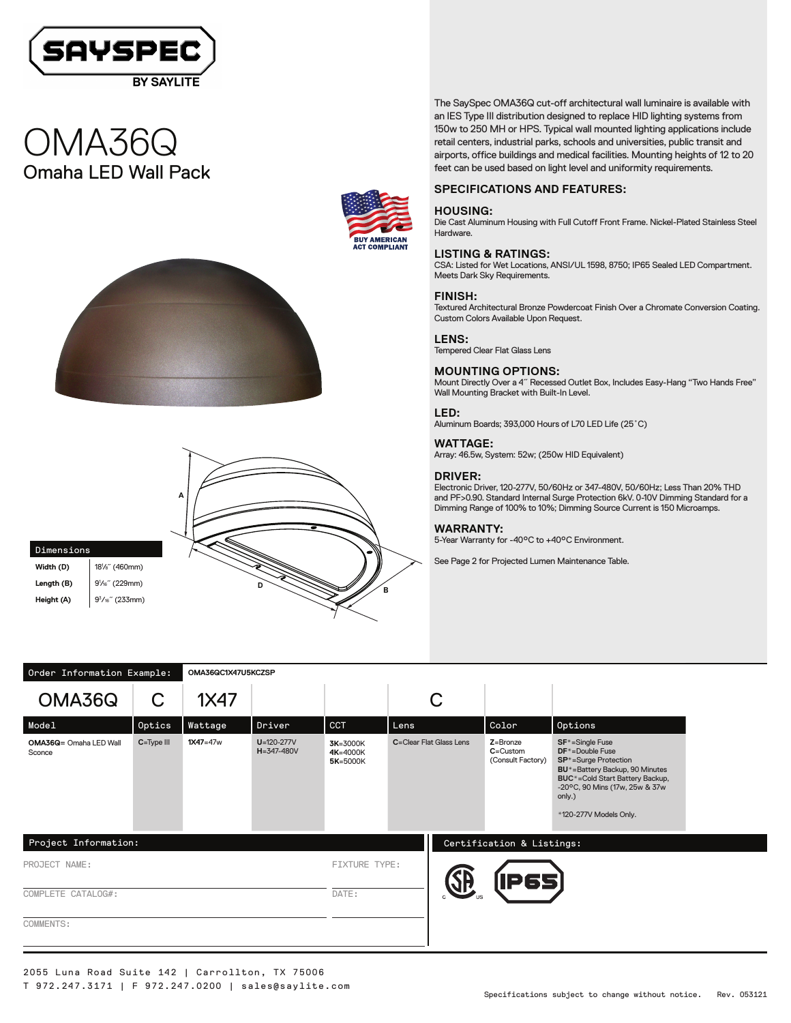Order Information Example: **OMA36QC1X47U5KCZSP**

Dimensions **Width (D)** 

Length (B)

**Height (A)** 

# The SaySpec OMA36Q cut-off architectural wall luminaire is available with an IES Type III distribution designed to replace HID lighting systems from 150w to 250 MH or HPS. Typical wall mounted lighting applications include retail centers, industrial parks, schools and universities, public transit and airports, office buildings and medical facilities. Mounting heights of 12 to 20

# **SPECIFICATIONS AND FEATURES:**

#### **HOUSING:**

Die Cast Aluminum Housing with Full Cutoff Front Frame. Nickel-Plated Stainless Steel Hardware.

feet can be used based on light level and uniformity requirements.

#### **LISTING & RATINGS:**

CSA: Listed for Wet Locations, ANSI/UL 1598, 8750; IP65 Sealed LED Compartment. Meets Dark Sky Requirements.

#### **FINISH:**

Textured Architectural Bronze Powdercoat Finish Over a Chromate Conversion Coating. Custom Colors Available Upon Request.

### **LENS:**

Tempered Clear Flat Glass Lens

### **MOUNTING OPTIONS:**

Mount Directly Over a 4˝ Recessed Outlet Box, Includes Easy-Hang "Two Hands Free" Wall Mounting Bracket with Built-In Level.

#### **LED:**

Aluminum Boards; 393,000 Hours of L70 LED Life (25˚C)

#### **WATTAGE:**

Array: 46.5w, System: 52w; (250w HID Equivalent)

#### **DRIVER:**

Electronic Driver, 120-277V, 50/60Hz or 347-480V, 50/60Hz; Less Than 20% THD and PF>0.90. Standard Internal Surge Protection 6kV. 0-10V Dimming Standard for a Dimming Range of 100% to 10%; Dimming Source Current is 150 Microamps.

### **WARRANTY:**

5-Year Warranty for -40°C to +40°C Environment.

See Page 2 for Projected Lumen Maintenance Table.

| order Information Example:       |                |              |                                      |                                  |                         |                                               |                                                                                                                                                                                                                                              |
|----------------------------------|----------------|--------------|--------------------------------------|----------------------------------|-------------------------|-----------------------------------------------|----------------------------------------------------------------------------------------------------------------------------------------------------------------------------------------------------------------------------------------------|
| OMA36Q                           | C              | 1X47         |                                      |                                  | ⌒<br>U                  |                                               |                                                                                                                                                                                                                                              |
| Model                            | Optics         | Wattage      | Driver                               | <b>CCT</b>                       | Lens                    | Color                                         | Options                                                                                                                                                                                                                                      |
| OMA36Q= Omaha LED Wall<br>Sconce | $C = Type III$ | $1X47 = 47w$ | $U = 120 - 277V$<br>$H = 347 - 480V$ | 3K=3000K<br>4K=4000K<br>5K=5000K | C=Clear Flat Glass Lens | Z=Bronze<br>$C =$ Custom<br>(Consult Factory) | SF <sup>*</sup> =Single Fuse<br>DF <sup>*</sup> =Double Fuse<br>SP <sup>*</sup> =Surge Protection<br>BU*=Battery Backup, 90 Minutes<br>BUC*=Cold Start Battery Backup,<br>-20°C, 90 Mins (17w, 25w & 37w<br>only.)<br>*120-277V Models Only. |
| Project Information:             |                |              |                                      |                                  |                         | Certification & Listings:                     |                                                                                                                                                                                                                                              |
| PROJECT NAME:                    |                |              | FIXTURE TYPE:                        | <b>AR</b>                        | <b>[IP65]</b>           |                                               |                                                                                                                                                                                                                                              |
| COMPLETE CATALOG#:               |                | DATE:        |                                      |                                  |                         |                                               |                                                                                                                                                                                                                                              |
| COMMENTS:                        |                |              |                                      |                                  |                         |                                               |                                                                                                                                                                                                                                              |
|                                  |                |              |                                      |                                  |                         |                                               |                                                                                                                                                                                                                                              |